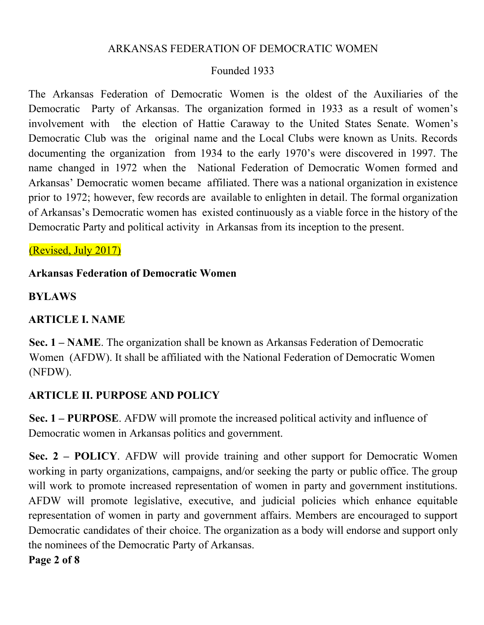#### ARKANSAS FEDERATION OF DEMOCRATIC WOMEN

### Founded 1933

The Arkansas Federation of Democratic Women is the oldest of the Auxiliaries of the Democratic Party of Arkansas. The organization formed in 1933 as a result of women's involvement with the election of Hattie Caraway to the United States Senate. Women's Democratic Club was the original name and the Local Clubs were known as Units. Records documenting the organization from 1934 to the early 1970's were discovered in 1997. The name changed in 1972 when the National Federation of Democratic Women formed and Arkansas' Democratic women became affiliated. There was a national organization in existence prior to 1972; however, few records are available to enlighten in detail. The formal organization of Arkansas's Democratic women has existed continuously as a viable force in the history of the Democratic Party and political activity in Arkansas from its inception to the present.

### (Revised, July 2017)

### **Arkansas Federation of Democratic Women**

#### **BYLAWS**

### **ARTICLE I. NAME**

**Sec. 1 – NAME**. The organization shall be known as Arkansas Federation of Democratic Women (AFDW). It shall be affiliated with the National Federation of Democratic Women (NFDW).

### **ARTICLE II. PURPOSE AND POLICY**

**Sec. 1 – PURPOSE**. AFDW will promote the increased political activity and influence of Democratic women in Arkansas politics and government.

**Sec. 2 – POLICY**. AFDW will provide training and other support for Democratic Women working in party organizations, campaigns, and/or seeking the party or public office. The group will work to promote increased representation of women in party and government institutions. AFDW will promote legislative, executive, and judicial policies which enhance equitable representation of women in party and government affairs. Members are encouraged to support Democratic candidates of their choice. The organization as a body will endorse and support only the nominees of the Democratic Party of Arkansas.

**Page 2 of 8**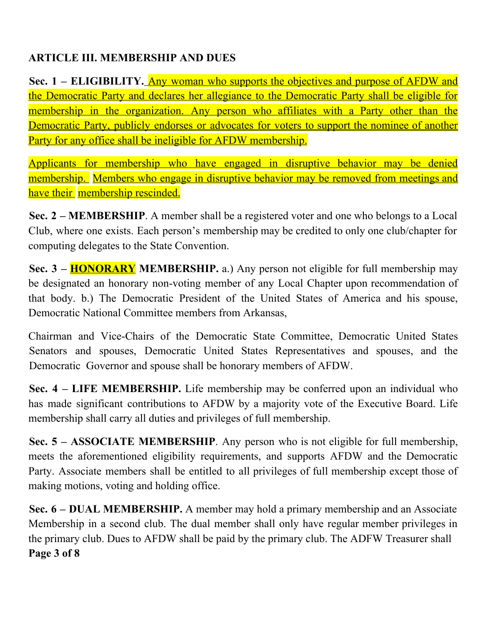### **ARTICLE III. MEMBERSHIP AND DUES**

**Sec. 1 – ELIGIBILITY.** Any woman who supports the objectives and purpose of AFDW and the Democratic Party and declares her allegiance to the Democratic Party shall be eligible for membership in the organization. Any person who affiliates with a Party other than the Democratic Party, publicly endorses or advocates for voters to support the nominee of another Party for any office shall be ineligible for AFDW membership.

Applicants for membership who have engaged in disruptive behavior may be denied membership. Members who engage in disruptive behavior may be removed from meetings and have their membership rescinded.

**Sec. 2 – MEMBERSHIP**. A member shall be a registered voter and one who belongs to a Local Club, where one exists. Each person's membership may be credited to only one club/chapter for computing delegates to the State Convention.

**Sec. 3 – HONORARY MEMBERSHIP.** a.) Any person not eligible for full membership may be designated an honorary non-voting member of any Local Chapter upon recommendation of that body. b.) The Democratic President of the United States of America and his spouse, Democratic National Committee members from Arkansas,

Chairman and Vice-Chairs of the Democratic State Committee, Democratic United States Senators and spouses, Democratic United States Representatives and spouses, and the Democratic Governor and spouse shall be honorary members of AFDW.

**Sec. 4 – LIFE MEMBERSHIP.** Life membership may be conferred upon an individual who has made significant contributions to AFDW by a majority vote of the Executive Board. Life membership shall carry all duties and privileges of full membership.

**Sec. 5 – ASSOCIATE MEMBERSHIP**. Any person who is not eligible for full membership, meets the aforementioned eligibility requirements, and supports AFDW and the Democratic Party. Associate members shall be entitled to all privileges of full membership except those of making motions, voting and holding office.

**Sec. 6 – DUAL MEMBERSHIP.** A member may hold a primary membership and an Associate Membership in a second club. The dual member shall only have regular member privileges in the primary club. Dues to AFDW shall be paid by the primary club. The ADFW Treasurer shall **Page 3 of 8**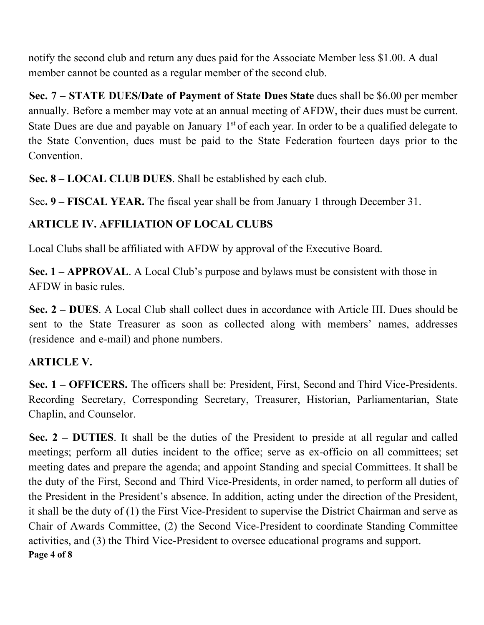notify the second club and return any dues paid for the Associate Member less \$1.00. A dual member cannot be counted as a regular member of the second club.

**Sec. 7 – STATE DUES/Date of Payment of State Dues State** dues shall be \$6.00 per member annually. Before a member may vote at an annual meeting of AFDW, their dues must be current. State Dues are due and payable on January  $1<sup>st</sup>$  of each year. In order to be a qualified delegate to the State Convention, dues must be paid to the State Federation fourteen days prior to the Convention.

**Sec. 8 – LOCAL CLUB DUES**. Shall be established by each club.

Sec**. 9 – FISCAL YEAR.** The fiscal year shall be from January 1 through December 31.

## **ARTICLE IV. AFFILIATION OF LOCAL CLUBS**

Local Clubs shall be affiliated with AFDW by approval of the Executive Board.

**Sec. 1 – APPROVAL**. A Local Club's purpose and bylaws must be consistent with those in AFDW in basic rules.

**Sec. 2 – DUES**. A Local Club shall collect dues in accordance with Article III. Dues should be sent to the State Treasurer as soon as collected along with members' names, addresses (residence and e-mail) and phone numbers.

# **ARTICLE V.**

**Sec. 1 – OFFICERS.** The officers shall be: President, First, Second and Third Vice-Presidents. Recording Secretary, Corresponding Secretary, Treasurer, Historian, Parliamentarian, State Chaplin, and Counselor.

**Sec. 2 – DUTIES**. It shall be the duties of the President to preside at all regular and called meetings; perform all duties incident to the office; serve as ex-officio on all committees; set meeting dates and prepare the agenda; and appoint Standing and special Committees. It shall be the duty of the First, Second and Third Vice-Presidents, in order named, to perform all duties of the President in the President's absence. In addition, acting under the direction of the President, it shall be the duty of (1) the First Vice-President to supervise the District Chairman and serve as Chair of Awards Committee, (2) the Second Vice-President to coordinate Standing Committee activities, and (3) the Third Vice-President to oversee educational programs and support. **Page 4 of 8**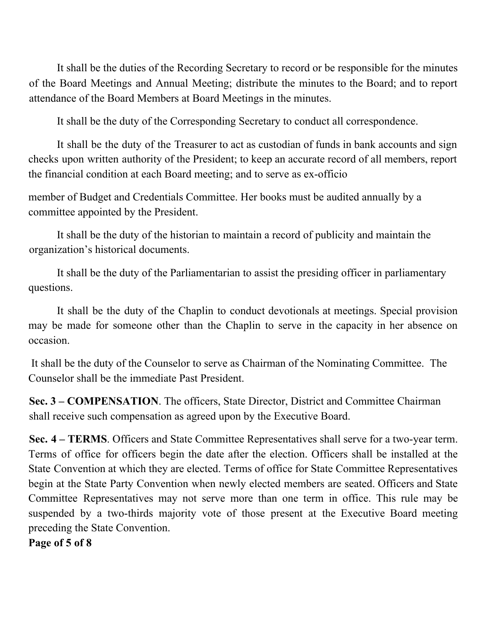It shall be the duties of the Recording Secretary to record or be responsible for the minutes of the Board Meetings and Annual Meeting; distribute the minutes to the Board; and to report attendance of the Board Members at Board Meetings in the minutes.

It shall be the duty of the Corresponding Secretary to conduct all correspondence.

It shall be the duty of the Treasurer to act as custodian of funds in bank accounts and sign checks upon written authority of the President; to keep an accurate record of all members, report the financial condition at each Board meeting; and to serve as ex-officio

member of Budget and Credentials Committee. Her books must be audited annually by a committee appointed by the President.

It shall be the duty of the historian to maintain a record of publicity and maintain the organization's historical documents.

It shall be the duty of the Parliamentarian to assist the presiding officer in parliamentary questions.

It shall be the duty of the Chaplin to conduct devotionals at meetings. Special provision may be made for someone other than the Chaplin to serve in the capacity in her absence on occasion.

It shall be the duty of the Counselor to serve as Chairman of the Nominating Committee. The Counselor shall be the immediate Past President.

**Sec. 3 – COMPENSATION**. The officers, State Director, District and Committee Chairman shall receive such compensation as agreed upon by the Executive Board.

**Sec. 4 – TERMS**. Officers and State Committee Representatives shall serve for a two-year term. Terms of office for officers begin the date after the election. Officers shall be installed at the State Convention at which they are elected. Terms of office for State Committee Representatives begin at the State Party Convention when newly elected members are seated. Officers and State Committee Representatives may not serve more than one term in office. This rule may be suspended by a two-thirds majority vote of those present at the Executive Board meeting preceding the State Convention.

**Page of 5 of 8**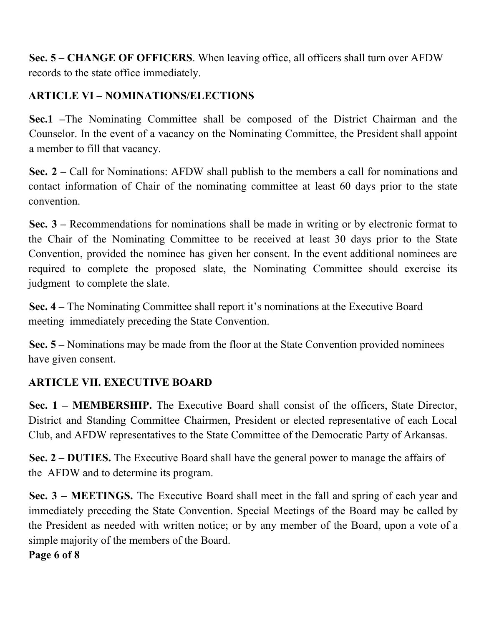**Sec. 5 – CHANGE OF OFFICERS**. When leaving office, all officers shall turn over AFDW records to the state office immediately.

### **ARTICLE VI – NOMINATIONS/ELECTIONS**

**Sec.1 –**The Nominating Committee shall be composed of the District Chairman and the Counselor. In the event of a vacancy on the Nominating Committee, the President shall appoint a member to fill that vacancy.

**Sec. 2 –** Call for Nominations: AFDW shall publish to the members a call for nominations and contact information of Chair of the nominating committee at least 60 days prior to the state convention.

**Sec. 3 –** Recommendations for nominations shall be made in writing or by electronic format to the Chair of the Nominating Committee to be received at least 30 days prior to the State Convention, provided the nominee has given her consent. In the event additional nominees are required to complete the proposed slate, the Nominating Committee should exercise its judgment to complete the slate.

**Sec. 4 –** The Nominating Committee shall report it's nominations at the Executive Board meeting immediately preceding the State Convention.

**Sec. 5 –** Nominations may be made from the floor at the State Convention provided nominees have given consent.

### **ARTICLE VII. EXECUTIVE BOARD**

**Sec. 1 – MEMBERSHIP.** The Executive Board shall consist of the officers, State Director, District and Standing Committee Chairmen, President or elected representative of each Local Club, and AFDW representatives to the State Committee of the Democratic Party of Arkansas.

**Sec. 2 – DUTIES.** The Executive Board shall have the general power to manage the affairs of the AFDW and to determine its program.

**Sec. 3 – MEETINGS.** The Executive Board shall meet in the fall and spring of each year and immediately preceding the State Convention. Special Meetings of the Board may be called by the President as needed with written notice; or by any member of the Board, upon a vote of a simple majority of the members of the Board.

### **Page 6 of 8**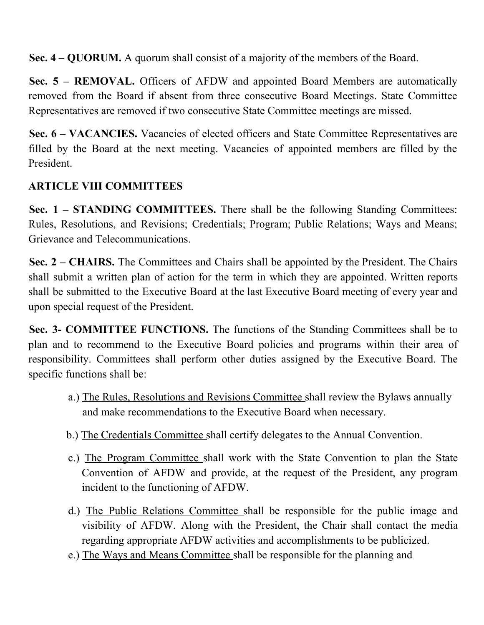**Sec. 4 – QUORUM.** A quorum shall consist of a majority of the members of the Board.

**Sec. 5 – REMOVAL.** Officers of AFDW and appointed Board Members are automatically removed from the Board if absent from three consecutive Board Meetings. State Committee Representatives are removed if two consecutive State Committee meetings are missed.

**Sec. 6 – VACANCIES.** Vacancies of elected officers and State Committee Representatives are filled by the Board at the next meeting. Vacancies of appointed members are filled by the President.

### **ARTICLE VIII COMMITTEES**

**Sec. 1 – STANDING COMMITTEES.** There shall be the following Standing Committees: Rules, Resolutions, and Revisions; Credentials; Program; Public Relations; Ways and Means; Grievance and Telecommunications.

**Sec. 2 – CHAIRS.** The Committees and Chairs shall be appointed by the President. The Chairs shall submit a written plan of action for the term in which they are appointed. Written reports shall be submitted to the Executive Board at the last Executive Board meeting of every year and upon special request of the President.

**Sec. 3- COMMITTEE FUNCTIONS.** The functions of the Standing Committees shall be to plan and to recommend to the Executive Board policies and programs within their area of responsibility. Committees shall perform other duties assigned by the Executive Board. The specific functions shall be:

- a.) The Rules, Resolutions and Revisions Committee shall review the Bylaws annually and make recommendations to the Executive Board when necessary.
- b.) The Credentials Committee shall certify delegates to the Annual Convention.
- c.) The Program Committee shall work with the State Convention to plan the State Convention of AFDW and provide, at the request of the President, any program incident to the functioning of AFDW.
- d.) The Public Relations Committee shall be responsible for the public image and visibility of AFDW. Along with the President, the Chair shall contact the media regarding appropriate AFDW activities and accomplishments to be publicized.
- e.) The Ways and Means Committee shall be responsible for the planning and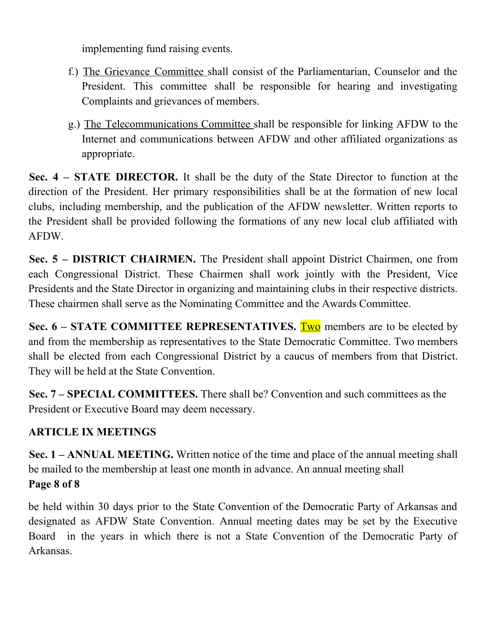implementing fund raising events.

- f.) The Grievance Committee shall consist of the Parliamentarian, Counselor and the President. This committee shall be responsible for hearing and investigating Complaints and grievances of members.
- g.) The Telecommunications Committee shall be responsible for linking AFDW to the Internet and communications between AFDW and other affiliated organizations as appropriate.

**Sec. 4 – STATE DIRECTOR.** It shall be the duty of the State Director to function at the direction of the President. Her primary responsibilities shall be at the formation of new local clubs, including membership, and the publication of the AFDW newsletter. Written reports to the President shall be provided following the formations of any new local club affiliated with AFDW.

**Sec. 5 – DISTRICT CHAIRMEN.** The President shall appoint District Chairmen, one from each Congressional District. These Chairmen shall work jointly with the President, Vice Presidents and the State Director in organizing and maintaining clubs in their respective districts. These chairmen shall serve as the Nominating Committee and the Awards Committee.

**Sec. 6 – STATE COMMITTEE REPRESENTATIVES.** Two members are to be elected by and from the membership as representatives to the State Democratic Committee. Two members shall be elected from each Congressional District by a caucus of members from that District. They will be held at the State Convention.

**Sec. 7 – SPECIAL COMMITTEES.** There shall be? Convention and such committees as the President or Executive Board may deem necessary.

## **ARTICLE IX MEETINGS**

**Sec. 1 – ANNUAL MEETING.** Written notice of the time and place of the annual meeting shall be mailed to the membership at least one month in advance. An annual meeting shall **Page 8 of 8**

be held within 30 days prior to the State Convention of the Democratic Party of Arkansas and designated as AFDW State Convention. Annual meeting dates may be set by the Executive Board in the years in which there is not a State Convention of the Democratic Party of Arkansas.